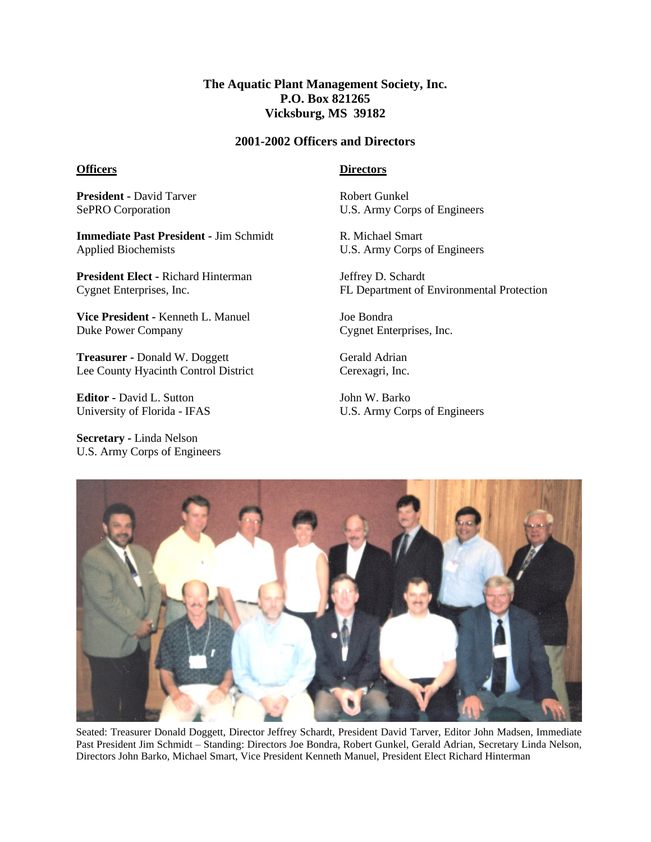## **The Aquatic Plant Management Society, Inc. P.O. Box 821265 Vicksburg, MS 39182**

## **2001-2002 Officers and Directors**

## **Officers**

**Directors**

**President -** David Tarver SePRO Corporation

**Immediate Past President -** Jim Schmidt Applied Biochemists

**President Elect -** Richard Hinterman Cygnet Enterprises, Inc.

**Vice President -** Kenneth L. Manuel Duke Power Company

**Treasurer -** Donald W. Doggett Lee County Hyacinth Control District

**Editor -** David L. Sutton University of Florida - IFAS

**Secretary -** Linda Nelson U.S. Army Corps of Engineers Robert Gunkel U.S. Army Corps of Engineers

R. Michael Smart U.S. Army Corps of Engineers

Jeffrey D. Schardt FL Department of Environmental Protection

Joe Bondra Cygnet Enterprises, Inc.

Gerald Adrian Cerexagri, Inc.

John W. Barko U.S. Army Corps of Engineers



Seated: Treasurer Donald Doggett, Director Jeffrey Schardt, President David Tarver, Editor John Madsen, Immediate Past President Jim Schmidt – Standing: Directors Joe Bondra, Robert Gunkel, Gerald Adrian, Secretary Linda Nelson, Directors John Barko, Michael Smart, Vice President Kenneth Manuel, President Elect Richard Hinterman